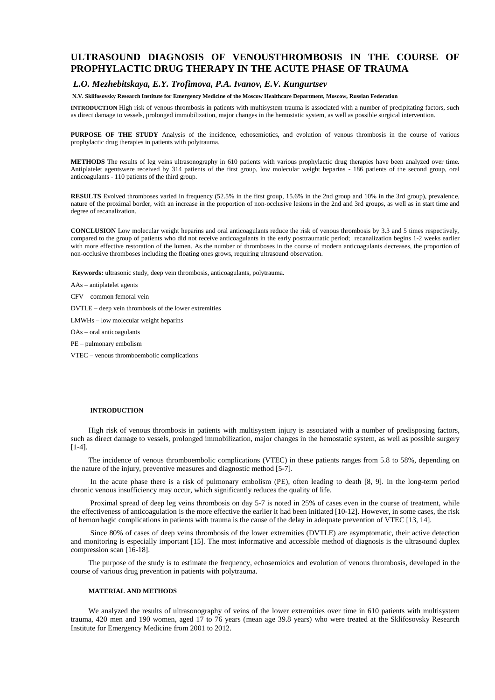# **ULTRASOUND DIAGNOSIS OF VENOUSTHROMBOSIS IN THE COURSE OF PROPHYLACTIC DRUG THERAPY IN THE ACUTE PHASE OF TRAUMA**

## *L.O. Mezhebitskaya, E.Y. Trofimova, P.A. Ivanov, E.V. Kungurtsev*

#### **N.V. Sklifosovsky Research Institute for Emergency Medicine of the Moscow Healthcare Department, Moscow, Russian Federation**

**INTRODUCTION** High risk of venous thrombosis in patients with multisystem trauma is associated with a number of precipitating factors, such as direct damage to vessels, prolonged immobilization, major changes in the hemostatic system, as well as possible surgical intervention.

**PURPOSE OF THE STUDY** Analysis of the incidence, echosemiotics, and evolution of venous thrombosis in the course of various prophylactic drug therapies in patients with polytrauma.

**METHODS** The results of leg veins ultrasonography in 610 patients with various prophylactic drug therapies have been analyzed over time. Antiplatelet agentswere received by 314 patients of the first group, low molecular weight heparins - 186 patients of the second group, oral anticoagulants - 110 patients of the third group.

**RESULTS** Evolved thromboses varied in frequency (52.5% in the first group, 15.6% in the 2nd group and 10% in the 3rd group), prevalence, nature of the proximal border, with an increase in the proportion of non-occlusive lesions in the 2nd and 3rd groups, as well as in start time and degree of recanalization.

**CONCLUSION** Low molecular weight heparins and oral anticoagulants reduce the risk of venous thrombosis by 3.3 and 5 times respectively, compared to the group of patients who did not receive anticoagulants in the early posttraumatic period; recanalization begins 1-2 weeks earlier with more effective restoration of the lumen. As the number of thromboses in the course of modern anticoagulants decreases, the proportion of non-occlusive thromboses including the floating ones grows, requiring ultrasound observation.

**Keywords:** ultrasonic study, deep vein thrombosis, anticoagulants, polytrauma.

AAs – antiplatelet agents

CFV – common femoral vein

DVTLE – deep vein thrombosis of the lower extremities

LMWHs – low molecular weight heparins

OAs – oral anticoagulants

PE – pulmonary embolism

VTEC – venous thromboembolic complications

### **INTRODUCTION**

High risk of venous thrombosis in patients with multisystem injury is associated with a number of predisposing factors, such as direct damage to vessels, prolonged immobilization, major changes in the hemostatic system, as well as possible surgery [1-4].

The incidence of venous thromboembolic complications (VTEC) in these patients ranges from 5.8 to 58%, depending on the nature of the injury, preventive measures and diagnostic method [5-7].

In the acute phase there is a risk of pulmonary embolism (PE), often leading to death [8, 9]. In the long-term period chronic venous insufficiency may occur, which significantly reduces the quality of life.

Proximal spread of deep leg veins thrombosis on day 5-7 is noted in 25% of cases even in the course of treatment, while the effectiveness of anticoagulation is the more effective the earlier it had been initiated [10-12]. However, in some cases, the risk of hemorrhagic complications in patients with trauma is the cause of the delay in adequate prevention of VTEC [13, 14].

Since 80% of cases of deep veins thrombosis of the lower extremities (DVTLE) are asymptomatic, their active detection and monitoring is especially important [15]. The most informative and accessible method of diagnosis is the ultrasound duplex compression scan [16-18].

The purpose of the study is to estimate the frequency, echosemioics and evolution of venous thrombosis, developed in the course of various drug prevention in patients with polytrauma.

#### **MATERIAL AND METHODS**

We analyzed the results of ultrasonography of veins of the lower extremities over time in 610 patients with multisystem trauma, 420 men and 190 women, aged 17 to 76 years (mean age 39.8 years) who were treated at the Sklifosovsky Research Institute for Emergency Medicine from 2001 to 2012.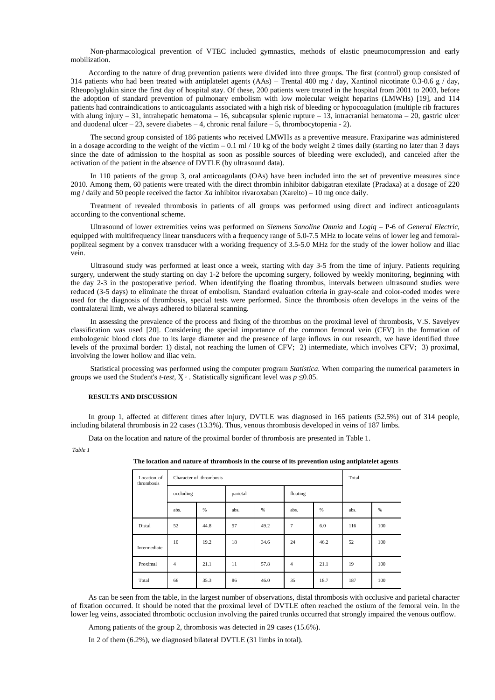Non-pharmacological prevention of VTEC included gymnastics, methods of elastic pneumocompression and early mobilization.

According to the nature of drug prevention patients were divided into three groups. The first (control) group consisted of 314 patients who had been treated with antiplatelet agents (AAs) – Trental 400 mg / day, Xantinol nicotinate 0.3-0.6 g / day, Rheopolyglukin since the first day of hospital stay. Of these, 200 patients were treated in the hospital from 2001 to 2003, before the adoption of standard prevention of pulmonary embolism with low molecular weight heparins (LMWHs) [19], and 114 patients had contraindications to anticoagulants associated with a high risk of bleeding or hypocoagulation (multiple rib fractures with alung injury – 31, intrahepatic hematoma – 16, subcapsular splenic rupture – 13, intracranial hematoma – 20, gastric ulcer and duodenal ulcer – 23, severe diabetes – 4, chronic renal failure – 5, thrombocytopenia - 2).

The second group consisted of 186 patients who received LMWHs as a preventive measure. Fraxiparine was administered in a dosage according to the weight of the victim  $-0.1$  ml  $/10$  kg of the body weight 2 times daily (starting no later than 3 days since the date of admission to the hospital as soon as possible sources of bleeding were excluded), and canceled after the activation of the patient in the absence of DVTLE (by ultrasound data).

In 110 patients of the group 3, oral anticoagulants (OAs) have been included into the set of preventive measures since 2010. Among them, 60 patients were treated with the direct thrombin inhibitor dabigatran etexilate (Pradaxa) at a dosage of 220 mg / daily and 50 people received the factor *Xa* inhibitor rivaroxaban (Xarelto) – 10 mg once daily.

Treatment of revealed thrombosis in patients of all groups was performed using direct and indirect anticoagulants according to the conventional scheme.

Ultrasound of lower extremities veins was performed on *Siemens Sonoline Omnia* and *Logiq* – P-6 of *General Electric,* equipped with multifrequency linear transducers with a frequency range of 5.0-7.5 MHz to locate veins of lower leg and femoralpopliteal segment by a convex transducer with a working frequency of 3.5-5.0 MHz for the study of the lower hollow and iliac vein.

Ultrasound study was performed at least once a week, starting with day 3-5 from the time of injury. Patients requiring surgery, underwent the study starting on day 1-2 before the upcoming surgery, followed by weekly monitoring, beginning with the day 2-3 in the postoperative period. When identifying the floating thrombus, intervals between ultrasound studies were reduced (3-5 days) to eliminate the threat of embolism. Standard evaluation criteria in gray-scale and color-coded modes were used for the diagnosis of thrombosis, special tests were performed. Since the thrombosis often develops in the veins of the contralateral limb, we always adhered to bilateral scanning.

In assessing the prevalence of the process and fixing of the thrombus on the proximal level of thrombosis, V.S. Savelyev classification was used [20]. Considering the special importance of the common femoral vein (CFV) in the formation of embologenic blood clots due to its large diameter and the presence of large inflows in our research, we have identified three levels of the proximal border: 1) distal, not reaching the lumen of CFV; 2) intermediate, which involves CFV; 3) proximal, involving the lower hollow and iliac vein.

Statistical processing was performed using the computer program *Statistica.* When comparing the numerical parameters in groups we used the Student's *t-test*,  $X^2$ . Statistically significant level was  $p \le 0.05$ .

#### **RESULTS AND DISCUSSION**

In group 1, affected at different times after injury, DVTLE was diagnosed in 165 patients (52.5%) out of 314 people, including bilateral thrombosis in 22 cases (13.3%). Thus, venous thrombosis developed in veins of 187 limbs.

Data on the location and nature of the proximal border of thrombosis are presented in Table 1.

| The location and nature of thrombosis in the course of its prevention using antiplatelet agents |  |
|-------------------------------------------------------------------------------------------------|--|
|-------------------------------------------------------------------------------------------------|--|

| Location of<br>thrombosis | Character of thrombosis |      |          |      | Total          |      |      |     |
|---------------------------|-------------------------|------|----------|------|----------------|------|------|-----|
|                           | occluding               |      | parietal |      | floating       |      |      |     |
|                           | abs.                    | %    | abs.     | %    | abs.           | %    | abs. | %   |
| Distal                    | 52                      | 44.8 | 57       | 49.2 | $\overline{7}$ | 6.0  | 116  | 100 |
| Intermediate              | 10                      | 19.2 | 18       | 34.6 | 24             | 46.2 | 52   | 100 |
| Proximal                  | 4                       | 21.1 | 11       | 57.8 | $\overline{4}$ | 21.1 | 19   | 100 |
| Total                     | 66                      | 35.3 | 86       | 46.0 | 35             | 18.7 | 187  | 100 |

As can be seen from the table, in the largest number of observations, distal thrombosis with occlusive and parietal character of fixation occurred. It should be noted that the proximal level of DVTLE often reached the ostium of the femoral vein. In the lower leg veins, associated thrombotic occlusion involving the paired trunks occurred that strongly impaired the venous outflow.

Among patients of the group 2, thrombosis was detected in 29 cases (15.6%).

In 2 of them (6.2%), we diagnosed bilateral DVTLE (31 limbs in total).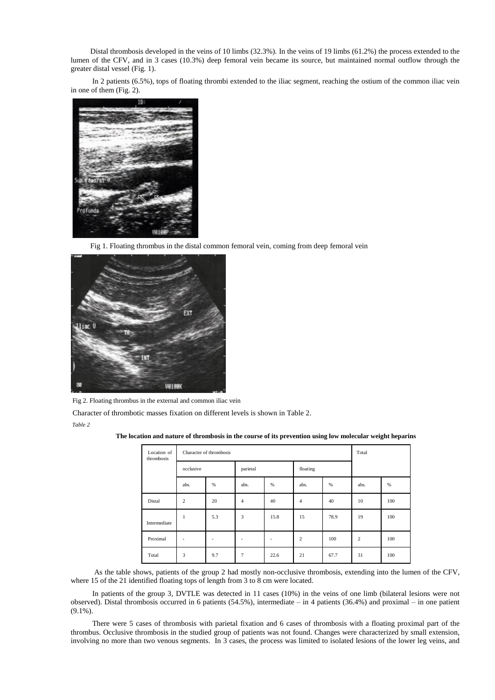Distal thrombosis developed in the veins of 10 limbs (32.3%). In the veins of 19 limbs (61.2%) the process extended to the lumen of the CFV, and in 3 cases (10.3%) deep femoral vein became its source, but maintained normal outflow through the greater distal vessel (Fig. 1).

In 2 patients (6.5%), tops of floating thrombi extended to the iliac segment, reaching the ostium of the common iliac vein in one of them (Fig. 2).



Fig 1. Floating thrombus in the distal common femoral vein, coming from deep femoral vein



Fig 2. Floating thrombus in the external and common iliac vein

Character of thrombotic masses fixation on different levels is shown in Table 2. *Table 2*

**The location and nature of thrombosis in the course of its prevention using low molecular weight heparins**

| Location of<br>thrombosis | Character of thrombosis |     |                |      | Total          |      |                |     |
|---------------------------|-------------------------|-----|----------------|------|----------------|------|----------------|-----|
|                           | occlusive               |     | parietal       |      | floating       |      |                |     |
|                           | abs.                    | %   | abs.           | %    | abs.           | %    | abs.           | %   |
| Distal                    | $\overline{c}$          | 20  | $\overline{4}$ | 40   | $\overline{4}$ | 40   | 10             | 100 |
| Intermediate              | 1                       | 5.3 | 3              | 15.8 | 15             | 78.9 | 19             | 100 |
| Proximal                  | ٠                       | ٠   | ٠              | -    | $\overline{c}$ | 100  | $\overline{c}$ | 100 |
| Total                     | 3                       | 9.7 | $\overline{7}$ | 22.6 | 21             | 67.7 | 31             | 100 |

As the table shows, patients of the group 2 had mostly non-occlusive thrombosis, extending into the lumen of the CFV, where 15 of the 21 identified floating tops of length from 3 to 8 cm were located.

In patients of the group 3, DVTLE was detected in 11 cases (10%) in the veins of one limb (bilateral lesions were not observed). Distal thrombosis occurred in 6 patients (54.5%), intermediate – in 4 patients (36.4%) and proximal – in one patient (9.1%).

There were 5 cases of thrombosis with parietal fixation and 6 cases of thrombosis with a floating proximal part of the thrombus. Occlusive thrombosis in the studied group of patients was not found. Changes were characterized by small extension, involving no more than two venous segments. In 3 cases, the process was limited to isolated lesions of the lower leg veins, and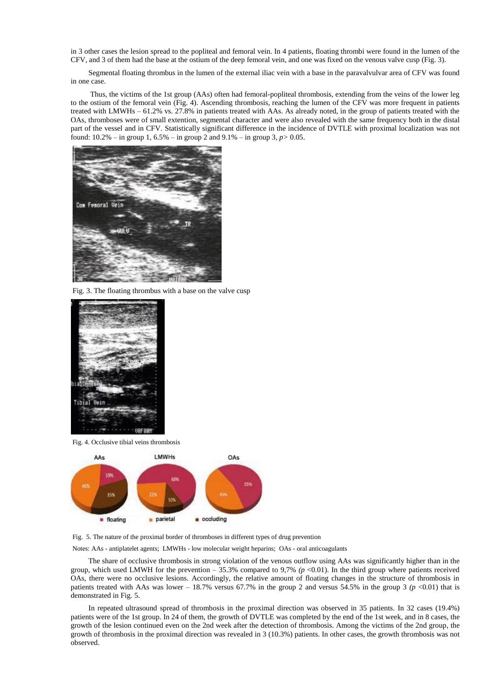in 3 other cases the lesion spread to the popliteal and femoral vein. In 4 patients, floating thrombi were found in the lumen of the CFV, and 3 of them had the base at the ostium of the deep femoral vein, and one was fixed on the venous valve cusp (Fig. 3).

Segmental floating thrombus in the lumen of the external iliac vein with a base in the paravalvulvar area of CFV was found in one case.

Thus, the victims of the 1st group (AAs) often had femoral-popliteal thrombosis, extending from the veins of the lower leg to the ostium of the femoral vein (Fig. 4). Ascending thrombosis, reaching the lumen of the CFV was more frequent in patients treated with LMWHs – 61.2% vs. 27.8% in patients treated with AAs. As already noted, in the group of patients treated with the OAs, thromboses were of small extention, segmental character and were also revealed with the same frequency both in the distal part of the vessel and in CFV. Statistically significant difference in the incidence of DVTLE with proximal localization was not found: 10.2% – in group 1, 6.5% – in group 2 and 9.1% – in group 3, *p>* 0.05.



Fig. 3. The floating thrombus with a base on the valve cusp



Fig. 4. Occlusive tibial veins thrombosis



Fig. 5. The nature of the proximal border of thromboses in different types of drug prevention

Notes: AAs - antiplatelet agents; LMWHs - low molecular weight heparins; OAs - oral anticoagulants

The share of occlusive thrombosis in strong violation of the venous outflow using AAs was significantly higher than in the group, which used LMWH for the prevention  $-35.3\%$  compared to 9,7% ( $p$  <0.01). In the third group where patients received OAs, there were no occlusive lesions. Accordingly, the relative amount of floating changes in the structure of thrombosis in patients treated with AAs was lower – 18.7% versus 67.7% in the group 2 and versus 54.5% in the group 3  $(p \text{ < } 0.01)$  that is demonstrated in Fig. 5.

In repeated ultrasound spread of thrombosis in the proximal direction was observed in 35 patients. In 32 cases (19.4%) patients were of the 1st group. In 24 of them, the growth of DVTLE was completed by the end of the 1st week, and in 8 cases, the growth of the lesion continued even on the 2nd week after the detection of thrombosis. Among the victims of the 2nd group, the growth of thrombosis in the proximal direction was revealed in 3 (10.3%) patients. In other cases, the growth thrombosis was not observed.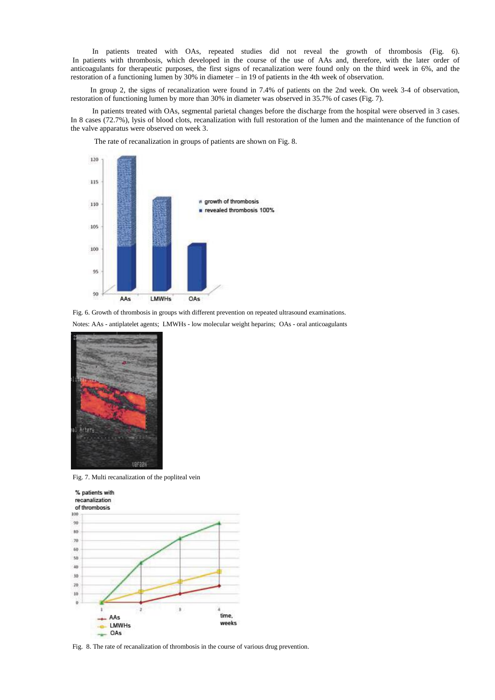In patients treated with OAs, repeated studies did not reveal the growth of thrombosis (Fig. 6). In patients with thrombosis, which developed in the course of the use of AAs and, therefore, with the later order of anticoagulants for therapeutic purposes, the first signs of recanalization were found only on the third week in 6%, and the restoration of a functioning lumen by 30% in diameter – in 19 of patients in the 4th week of observation.

In group 2, the signs of recanalization were found in 7.4% of patients on the 2nd week. On week 3-4 of observation, restoration of functioning lumen by more than 30% in diameter was observed in 35.7% of cases (Fig. 7).

In patients treated with OAs, segmental parietal changes before the discharge from the hospital were observed in 3 cases. In 8 cases (72.7%), lysis of blood clots, recanalization with full restoration of the lumen and the maintenance of the function of the valve apparatus were observed on week 3.

The rate of recanalization in groups of patients are shown on Fig. 8.



Fig. 6. Growth of thrombosis in groups with different prevention on repeated ultrasound examinations.

Notes: AAs - antiplatelet agents; LMWHs - low molecular weight heparins; OAs - oral anticoagulants



Fig. 7. Multi recanalization of the popliteal vein



Fig. 8. The rate of recanalization of thrombosis in the course of various drug prevention.